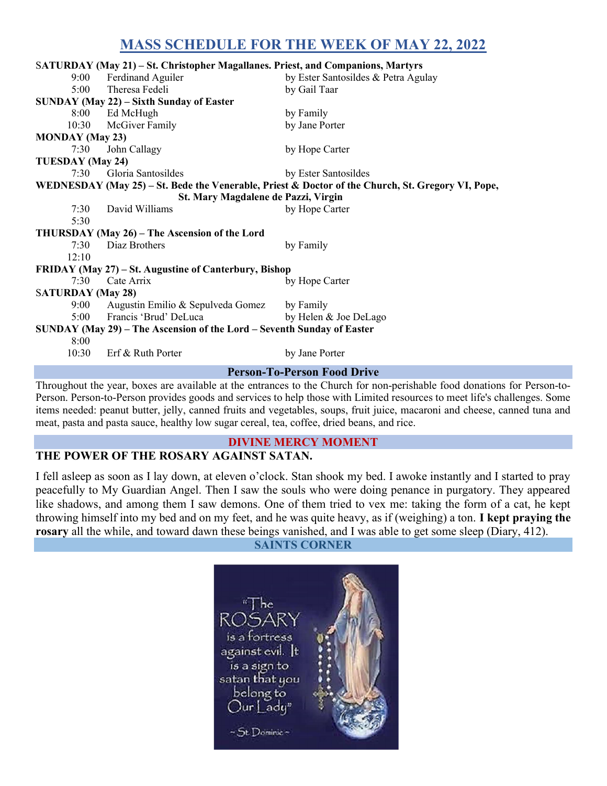# MASS SCHEDULE FOR THE WEEK OF MAY 22, 2022

| SATURDAY (May 21) – St. Christopher Magallanes. Priest, and Companions, Martyrs                   |                                   |                                     |  |  |
|---------------------------------------------------------------------------------------------------|-----------------------------------|-------------------------------------|--|--|
| 9:00                                                                                              | Ferdinand Aguiler                 | by Ester Santosildes & Petra Agulay |  |  |
| 5:00                                                                                              | Theresa Fedeli                    | by Gail Taar                        |  |  |
| SUNDAY (May 22) – Sixth Sunday of Easter                                                          |                                   |                                     |  |  |
|                                                                                                   | 8:00 Ed McHugh                    | by Family                           |  |  |
|                                                                                                   | 10:30 McGiver Family              | by Jane Porter                      |  |  |
| <b>MONDAY</b> (May 23)                                                                            |                                   |                                     |  |  |
| 7:30                                                                                              | John Callagy                      | by Hope Carter                      |  |  |
| TUESDAY (May 24)                                                                                  |                                   |                                     |  |  |
|                                                                                                   | 7:30 Gloria Santosildes           | by Ester Santosildes                |  |  |
| WEDNESDAY (May 25) – St. Bede the Venerable, Priest & Doctor of the Church, St. Gregory VI, Pope, |                                   |                                     |  |  |
| St. Mary Magdalene de Pazzi, Virgin                                                               |                                   |                                     |  |  |
| 7:30                                                                                              | David Williams                    | by Hope Carter                      |  |  |
| 5:30                                                                                              |                                   |                                     |  |  |
| THURSDAY (May 26) – The Ascension of the Lord                                                     |                                   |                                     |  |  |
| 7:30                                                                                              | Diaz Brothers                     | by Family                           |  |  |
| 12:10                                                                                             |                                   |                                     |  |  |
| FRIDAY (May 27) – St. Augustine of Canterbury, Bishop                                             |                                   |                                     |  |  |
| 7:30                                                                                              | Cate Arrix                        | by Hope Carter                      |  |  |
| <b>SATURDAY</b> (May 28)                                                                          |                                   |                                     |  |  |
| 9:00                                                                                              | Augustin Emilio & Sepulveda Gomez | by Family                           |  |  |
| 5:00                                                                                              | Francis 'Brud' DeLuca             | by Helen & Joe DeLago               |  |  |
| SUNDAY (May 29) – The Ascension of the Lord – Seventh Sunday of Easter                            |                                   |                                     |  |  |
| 8:00                                                                                              |                                   |                                     |  |  |
| 10:30                                                                                             | Erf & Ruth Porter                 | by Jane Porter                      |  |  |
| <b>Person-To-Person Food Drive</b>                                                                |                                   |                                     |  |  |

Throughout the year, boxes are available at the entrances to the Church for non-perishable food donations for Person-to-Person. Person-to-Person provides goods and services to help those with Limited resources to meet life's challenges. Some items needed: peanut butter, jelly, canned fruits and vegetables, soups, fruit juice, macaroni and cheese, canned tuna and meat, pasta and pasta sauce, healthy low sugar cereal, tea, coffee, dried beans, and rice.

#### DIVINE MERCY MOMENT THE POWER OF THE ROSARY AGAINST SATAN.

I fell asleep as soon as I lay down, at eleven o'clock. Stan shook my bed. I awoke instantly and I started to pray peacefully to My Guardian Angel. Then I saw the souls who were doing penance in purgatory. They appeared like shadows, and among them I saw demons. One of them tried to vex me: taking the form of a cat, he kept throwing himself into my bed and on my feet, and he was quite heavy, as if (weighing) a ton. I kept praying the rosary all the while, and toward dawn these beings vanished, and I was able to get some sleep (Diary, 412).

#### SAINTS CORNER